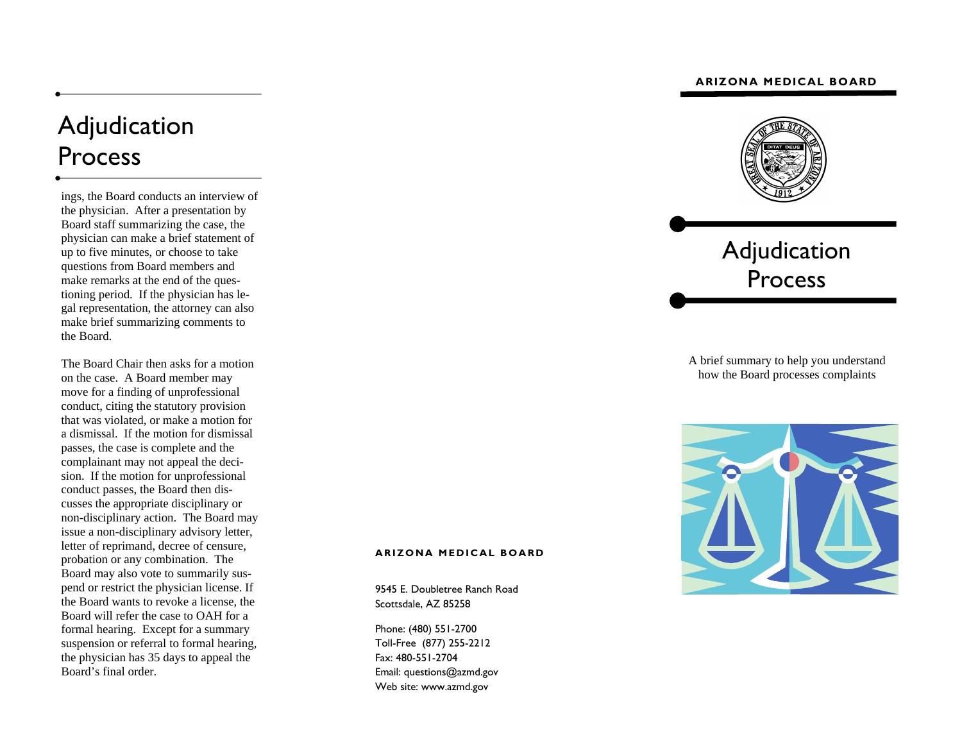# **ARIZONA MEDICAL BOARD**

# Adjudication Process

ings, the Board conducts an interview of the physician. After a presentation by Board staff summarizing the case, the physician can make a brief statement of up to five minutes, or choose to take questions from Board members and make remarks at the end of the questioning period. If the physician has legal representation, the attorney can also make brief summarizing comments to the Board.

The Board Chair then asks for a motion on the case. A Board member may move for a finding of unprofessional conduct, citing the statutory provision that was violated, or make a motion for a dismissal. If the motion for dismissal passes, the case is complete and the complainant may not appeal the decision. If the motion for unprofessional conduct passes, the Board then discusses the appropriate disciplinary or non-disciplinary action. The Board may issue a non-disciplinary advisory letter, letter of reprimand, decree of censure, probation or any combination. The Board may also vote to summarily suspend or restrict the physician license. If the Board wants to revoke a license, the Board will refer the case to OAH for a formal hearing. Except for a summary suspension or referral to formal hearing, the physician has 35 days to appeal the Board's final order.



Adjudication Process

A brief summary to help you understand how the Board processes complaints



#### **ARIZONA MEDICAL BOARD**

9545 E. Doubletree Ranch Road Scottsdale, AZ 85258

Phone: (480) 551-2700 Toll-Free (877) 255-2212 Fax: 480-551-2704 Email: questions@azmd.gov Web site: www.azmd.gov